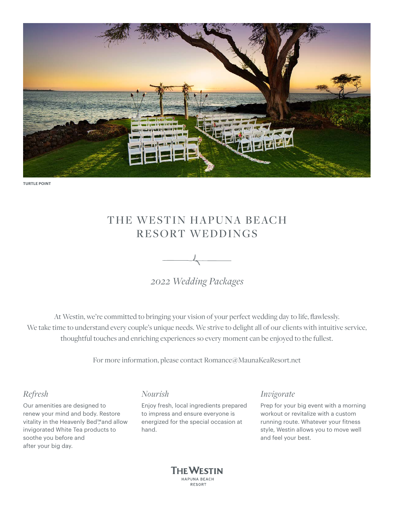

**TURTLE POINT**

# THE WESTIN HAPUNA BEACH RESORT WEDDINGS



*2022 Wedding Packages*

At Westin, we're committed to bringing your vision of your perfect wedding day to life, flawlessly. We take time to understand every couple's unique needs. We strive to delight all of our clients with intuitive service, thoughtful touches and enriching experiences so every moment can be enjoyed to the fullest.

For more information, please contact [Romance@MaunaKeaResort.net](mailto:Romance@MaunaKeaResort.net)

## *Refresh*

Our amenities are designed to renew your mind and body. Restore vitality in the Heavenly Bed™ and allow invigorated White Tea products to soothe you before and after your big day.

## *Nourish*

Enjoy fresh, local ingredients prepared to impress and ensure everyone is energized for the special occasion at hand.

## *Invigorate*

Prep for your big event with a morning workout or revitalize with a custom running route. Whatever your fitness style, Westin allows you to move well and feel your best.

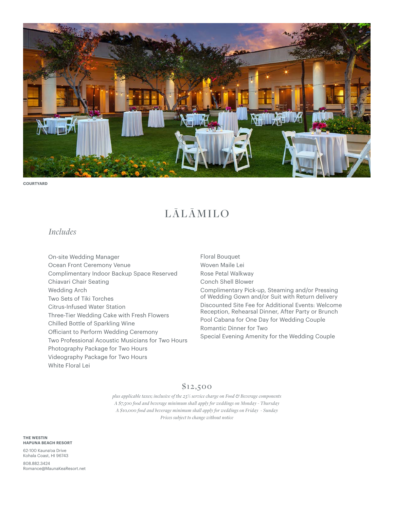

**COURTYARD**

# LĀLĀMILO

## *Includes*

On-site Wedding Manager Ocean Front Ceremony Venue Complimentary Indoor Backup Space Reserved Chiavari Chair Seating Wedding Arch Two Sets of Tiki Torches Citrus-Infused Water Station Three-Tier Wedding Cake with Fresh Flowers Chilled Bottle of Sparkling Wine Officiant to Perform Wedding Ceremony Two Professional Acoustic Musicians for Two Hours Photography Package for Two Hours Videography Package for Two Hours White Floral Lei

Floral Bouquet Woven Maile Lei Rose Petal Walkway Conch Shell Blower Complimentary Pick-up, Steaming and/or Pressing of Wedding Gown and/or Suit with Return delivery Discounted Site Fee for Additional Events: Welcome Reception, Rehearsal Dinner, After Party or Brunch Pool Cabana for One Day for Wedding Couple Romantic Dinner for Two Special Evening Amenity for the Wedding Couple

## \$12,500

*plus applicable taxes; inclusive of the 23% service charge on Food & Beverage components A \$7,500 food and beverage minimum shall apply for weddings on Monday - Thursday A \$10,000 food and beverage minimum shall apply for weddings on Friday - Sunday Prices subject to change without notice*

**THE WESTIN HAPUNA BEACH RESORT** 

62-100 Kauna'oa Drive Kohala Coast, HI 96743

808.882.3424 [Romance@MaunaKeaResort.net](mailto:Romance@MaunaKeaResort.net)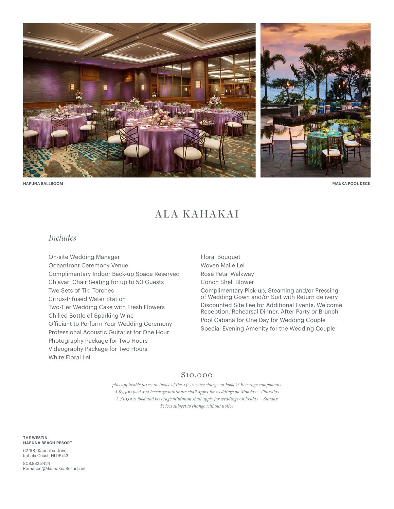

## ALA KAHAKAI

## *Includes*

On-site Wedding Manager Oceanfront Ceremony Venue Complimentary Indoor Back-up Space Reserved Chiavari Chair Seating for up to 50 Guests Two Sets of Tiki Torches Citrus-Infused Water Station Two-Tier Wedding Cake with Fresh Flowers Chilled Bottle of Sparking Wine Officiant to Perform Your Wedding Ceremony Professional Acoustic Guitarist for One Hour Photography Package for Two Hours Videography Package for Two Hours White Floral Lei

Floral Bouquet Woven Maile Lei Rose Petal Walkway Conch Shell Blower Complimentary Pick-up, Steaming and/or Pressing of Wedding Gown and/or Suit with Return delivery Discounted Site Fee for Additional Events: Welcome Reception, Rehearsal Dinner, After Party or Brunch Pool Cabana for One Day for Wedding Couple Special Evening Amenity for the Wedding Couple

### \$10,000

*plus applicable taxes; inclusive of the 23% service charge on Food & Beverage components A \$7,500 food and beverage minimum shall apply for weddings on Monday - Thursday A \$10,000 food and beverage minimum shall apply for weddings on Friday - Sunday Prices subject to change without notice*

**THE WESTIN HAPUNA BEACH RESORT** 

62-100 Kauna'oa Drive Kohala Coast, HI 96743

808.882.3424 [Romance@MaunaKeaResort.net](mailto:Romance@MaunaKeaResort.net)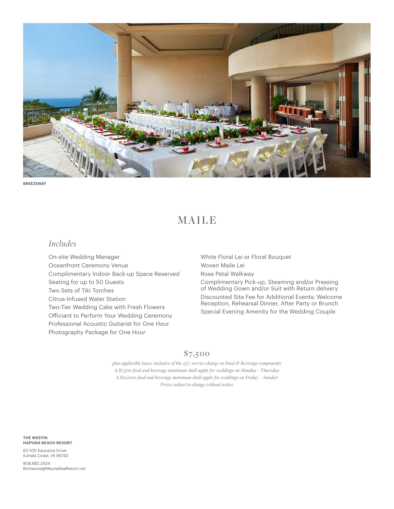

**BREEZEWAY**

# MAILE

## *Includes*

On-site Wedding Manager Oceanfront Ceremony Venue Complimentary Indoor Back-up Space Reserved Seating for up to 50 Guests Two Sets of Tiki Torches Citrus-Infused Water Station Two-Tier Wedding Cake with Fresh Flowers Officiant to Perform Your Wedding Ceremony Professional Acoustic Guitarist for One Hour Photography Package for One Hour

White Floral Lei or Floral Bouquet Woven Maile Lei Rose Petal Walkway Complimentary Pick-up, Steaming and/or Pressing of Wedding Gown and/or Suit with Return delivery Discounted Site Fee for Additional Events: Welcome Reception, Rehearsal Dinner, After Party or Brunch Special Evening Amenity for the Wedding Couple

## \$7,500

*plus applicable taxes; inclusive of the 23% service charge on Food & Beverage components A \$7,500 food and beverage minimum shall apply for weddings on Monday - Thursday A \$10,000 food and beverage minimum shall apply for weddings on Friday - Sunday Prices subject to change without notice*

**THE WESTIN HAPUNA BEACH RESORT** 

62-100 Kauna'oa Drive Kohala Coast, HI 96743

808.882.3424 [Romance@MaunaKeaResort.net](mailto:Romance@MaunaKeaResort.net)